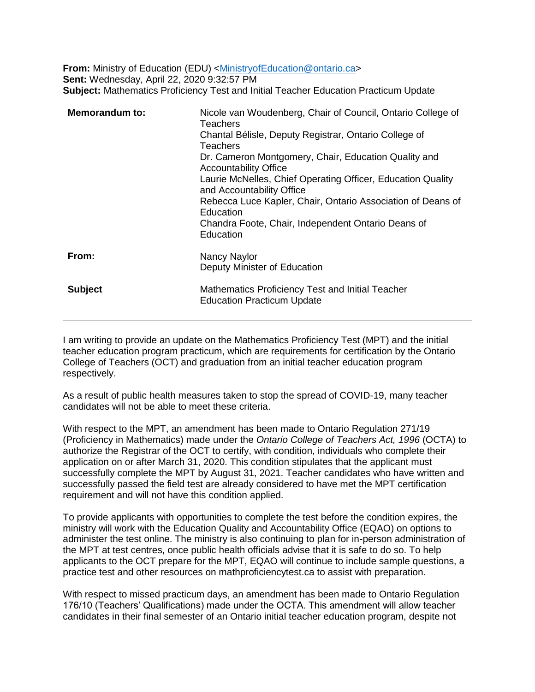**From:** Ministry of Education (EDU) <Ministry of Education @ontario.ca> **Sent:** Wednesday, April 22, 2020 9:32:57 PM **Subject:** Mathematics Proficiency Test and Initial Teacher Education Practicum Update

| <b>Memorandum to:</b> | Nicole van Woudenberg, Chair of Council, Ontario College of<br>Teachers<br>Chantal Bélisle, Deputy Registrar, Ontario College of<br>Teachers<br>Dr. Cameron Montgomery, Chair, Education Quality and<br><b>Accountability Office</b><br>Laurie McNelles, Chief Operating Officer, Education Quality<br>and Accountability Office<br>Rebecca Luce Kapler, Chair, Ontario Association of Deans of<br>Education<br>Chandra Foote, Chair, Independent Ontario Deans of<br>Education |
|-----------------------|---------------------------------------------------------------------------------------------------------------------------------------------------------------------------------------------------------------------------------------------------------------------------------------------------------------------------------------------------------------------------------------------------------------------------------------------------------------------------------|
| From:                 | Nancy Naylor<br>Deputy Minister of Education                                                                                                                                                                                                                                                                                                                                                                                                                                    |
| <b>Subject</b>        | Mathematics Proficiency Test and Initial Teacher<br><b>Education Practicum Update</b>                                                                                                                                                                                                                                                                                                                                                                                           |

I am writing to provide an update on the Mathematics Proficiency Test (MPT) and the initial teacher education program practicum, which are requirements for certification by the Ontario College of Teachers (OCT) and graduation from an initial teacher education program respectively.

As a result of public health measures taken to stop the spread of COVID-19, many teacher candidates will not be able to meet these criteria.

With respect to the MPT, an amendment has been made to Ontario Regulation 271/19 (Proficiency in Mathematics) made under the *Ontario College of Teachers Act, 1996* (OCTA) to authorize the Registrar of the OCT to certify, with condition, individuals who complete their application on or after March 31, 2020. This condition stipulates that the applicant must successfully complete the MPT by August 31, 2021. Teacher candidates who have written and successfully passed the field test are already considered to have met the MPT certification requirement and will not have this condition applied.

To provide applicants with opportunities to complete the test before the condition expires, the ministry will work with the Education Quality and Accountability Office (EQAO) on options to administer the test online. The ministry is also continuing to plan for in-person administration of the MPT at test centres, once public health officials advise that it is safe to do so. To help applicants to the OCT prepare for the MPT, EQAO will continue to include sample questions, a practice test and other resources on mathproficiencytest.ca to assist with preparation.

With respect to missed practicum days, an amendment has been made to Ontario Regulation 176/10 (Teachers' Qualifications) made under the OCTA. This amendment will allow teacher candidates in their final semester of an Ontario initial teacher education program, despite not